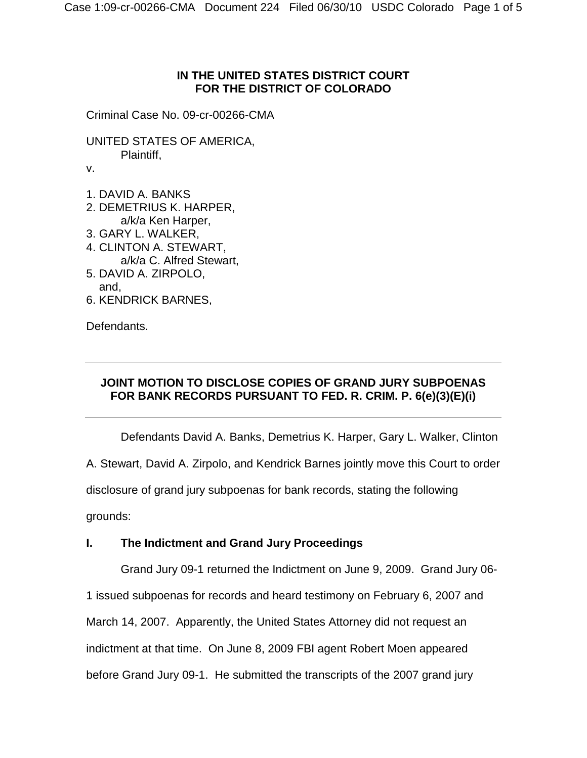## **IN THE UNITED STATES DISTRICT COURT FOR THE DISTRICT OF COLORADO**

Criminal Case No. 09-cr-00266-CMA

UNITED STATES OF AMERICA, Plaintiff,

v.

- 1. DAVID A. BANKS
- 2. DEMETRIUS K. HARPER, a/k/a Ken Harper,
- 3. GARY L. WALKER,
- 4. CLINTON A. STEWART, a/k/a C. Alfred Stewart,
- 5. DAVID A. ZIRPOLO, and,
- 6. KENDRICK BARNES,

Defendants.

# **JOINT MOTION TO DISCLOSE COPIES OF GRAND JURY SUBPOENAS FOR BANK RECORDS PURSUANT TO FED. R. CRIM. P. 6(e)(3)(E)(i)**

Defendants David A. Banks, Demetrius K. Harper, Gary L. Walker, Clinton

A. Stewart, David A. Zirpolo, and Kendrick Barnes jointly move this Court to order

disclosure of grand jury subpoenas for bank records, stating the following

grounds:

# **I. The Indictment and Grand Jury Proceedings**

Grand Jury 09-1 returned the Indictment on June 9, 2009. Grand Jury 06-

1 issued subpoenas for records and heard testimony on February 6, 2007 and

March 14, 2007. Apparently, the United States Attorney did not request an

indictment at that time. On June 8, 2009 FBI agent Robert Moen appeared

before Grand Jury 09-1. He submitted the transcripts of the 2007 grand jury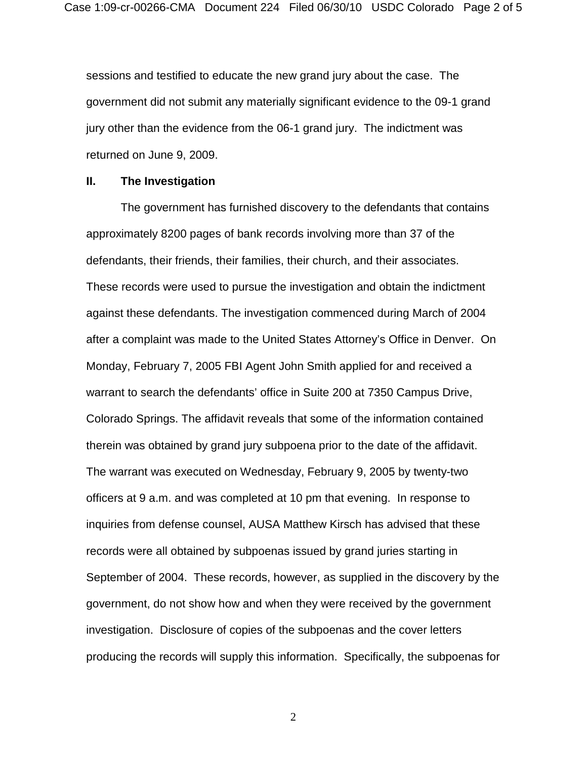sessions and testified to educate the new grand jury about the case. The government did not submit any materially significant evidence to the 09-1 grand jury other than the evidence from the 06-1 grand jury. The indictment was returned on June 9, 2009.

#### **II. The Investigation**

The government has furnished discovery to the defendants that contains approximately 8200 pages of bank records involving more than 37 of the defendants, their friends, their families, their church, and their associates. These records were used to pursue the investigation and obtain the indictment against these defendants. The investigation commenced during March of 2004 after a complaint was made to the United States Attorney's Office in Denver. On Monday, February 7, 2005 FBI Agent John Smith applied for and received a warrant to search the defendants' office in Suite 200 at 7350 Campus Drive, Colorado Springs. The affidavit reveals that some of the information contained therein was obtained by grand jury subpoena prior to the date of the affidavit. The warrant was executed on Wednesday, February 9, 2005 by twenty-two officers at 9 a.m. and was completed at 10 pm that evening. In response to inquiries from defense counsel, AUSA Matthew Kirsch has advised that these records were all obtained by subpoenas issued by grand juries starting in September of 2004. These records, however, as supplied in the discovery by the government, do not show how and when they were received by the government investigation. Disclosure of copies of the subpoenas and the cover letters producing the records will supply this information. Specifically, the subpoenas for

2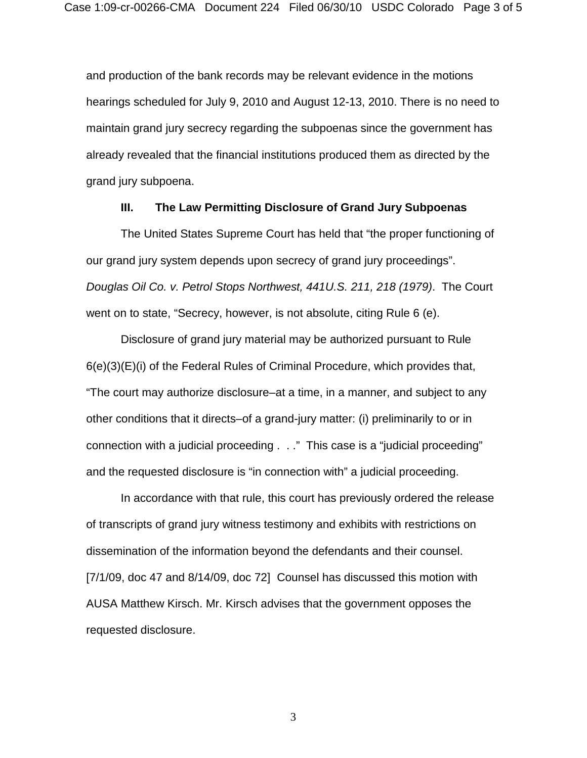and production of the bank records may be relevant evidence in the motions hearings scheduled for July 9, 2010 and August 12-13, 2010. There is no need to maintain grand jury secrecy regarding the subpoenas since the government has already revealed that the financial institutions produced them as directed by the grand jury subpoena.

#### **III. The Law Permitting Disclosure of Grand Jury Subpoenas**

The United States Supreme Court has held that "the proper functioning of our grand jury system depends upon secrecy of grand jury proceedings". *Douglas Oil Co. v. Petrol Stops Northwest, 441U.S. 211, 218 (1979)*. The Court went on to state, "Secrecy, however, is not absolute, citing Rule 6 (e).

Disclosure of grand jury material may be authorized pursuant to Rule 6(e)(3)(E)(i) of the Federal Rules of Criminal Procedure, which provides that, "The court may authorize disclosure–at a time, in a manner, and subject to any other conditions that it directs–of a grand-jury matter: (i) preliminarily to or in connection with a judicial proceeding . . ." This case is a "judicial proceeding" and the requested disclosure is "in connection with" a judicial proceeding.

In accordance with that rule, this court has previously ordered the release of transcripts of grand jury witness testimony and exhibits with restrictions on dissemination of the information beyond the defendants and their counsel. [7/1/09, doc 47 and 8/14/09, doc 72] Counsel has discussed this motion with AUSA Matthew Kirsch. Mr. Kirsch advises that the government opposes the requested disclosure.

3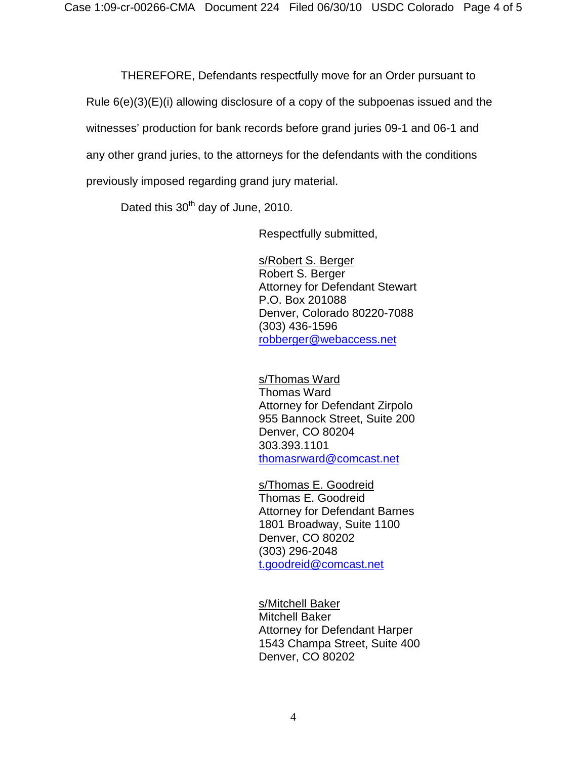THEREFORE, Defendants respectfully move for an Order pursuant to Rule 6(e)(3)(E)(i) allowing disclosure of a copy of the subpoenas issued and the witnesses' production for bank records before grand juries 09-1 and 06-1 and any other grand juries, to the attorneys for the defendants with the conditions previously imposed regarding grand jury material.

Dated this 30<sup>th</sup> day of June, 2010.

Respectfully submitted,

s/Robert S. Berger Robert S. Berger Attorney for Defendant Stewart P.O. Box 201088 Denver, Colorado 80220-7088 (303) 436-1596 [robberger@webaccess.net](mailto:robberger@webaccess.net)

### s/Thomas Ward

Thomas Ward Attorney for Defendant Zirpolo 955 Bannock Street, Suite 200 Denver, CO 80204 303.393.1101 [thomasrward@comcast.net](mailto:thomasrward@comcast.net)

s/Thomas E. Goodreid Thomas E. Goodreid Attorney for Defendant Barnes 1801 Broadway, Suite 1100 Denver, CO 80202 (303) 296-2048 [t.goodreid@comcast.net](mailto:t.goodreid@comcast.net)

s/Mitchell Baker Mitchell Baker Attorney for Defendant Harper 1543 Champa Street, Suite 400 Denver, CO 80202